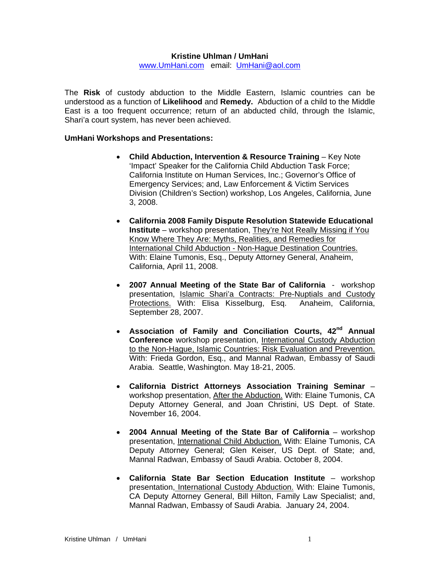## **Kristine Uhlman / UmHani**

www.UmHani.com email: UmHani@aol.com

The **Risk** of custody abduction to the Middle Eastern, Islamic countries can be understood as a function of **Likelihood** and **Remedy.** Abduction of a child to the Middle East is a too frequent occurrence; return of an abducted child, through the Islamic, Shari'a court system, has never been achieved.

## **UmHani Workshops and Presentations:**

- **Child Abduction, Intervention & Resource Training Key Note** 'Impact' Speaker for the California Child Abduction Task Force; California Institute on Human Services, Inc.; Governor's Office of Emergency Services; and, Law Enforcement & Victim Services Division (Children's Section) workshop, Los Angeles, California, June 3, 2008.
- **California 2008 Family Dispute Resolution Statewide Educational Institute** – workshop presentation, They're Not Really Missing if You Know Where They Are: Myths, Realities, and Remedies for International Child Abduction - Non-Hague Destination Countries. With: Elaine Tumonis, Esq., Deputy Attorney General, Anaheim, California, April 11, 2008.
- **2007 Annual Meeting of the State Bar of California**  workshop presentation, Islamic Shari'a Contracts: Pre-Nuptials and Custody Protections. With: Elisa Kisselburg, Esq. Anaheim, California, September 28, 2007.
- **Association of Family and Conciliation Courts, 42nd Annual Conference** workshop presentation, International Custody Abduction to the Non-Hague, Islamic Countries: Risk Evaluation and Prevention. With: Frieda Gordon, Esq., and Mannal Radwan, Embassy of Saudi Arabia. Seattle, Washington. May 18-21, 2005.
- **California District Attorneys Association Training Seminar**  workshop presentation, After the Abduction. With: Elaine Tumonis, CA Deputy Attorney General, and Joan Christini, US Dept. of State. November 16, 2004.
- **2004 Annual Meeting of the State Bar of California** workshop presentation, International Child Abduction. With: Elaine Tumonis, CA Deputy Attorney General; Glen Keiser, US Dept. of State; and, Mannal Radwan, Embassy of Saudi Arabia. October 8, 2004.
- **California State Bar Section Education Institute**  workshop presentation, International Custody Abduction. With: Elaine Tumonis, CA Deputy Attorney General, Bill Hilton, Family Law Specialist; and, Mannal Radwan, Embassy of Saudi Arabia. January 24, 2004.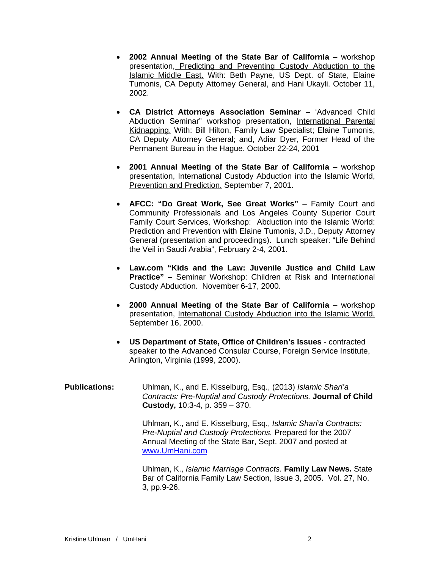- **2002 Annual Meeting of the State Bar of California** workshop presentation, Predicting and Preventing Custody Abduction to the Islamic Middle East. With: Beth Payne, US Dept. of State, Elaine Tumonis, CA Deputy Attorney General, and Hani Ukayli. October 11, 2002.
- **CA District Attorneys Association Seminar** 'Advanced Child Abduction Seminar" workshop presentation, International Parental Kidnapping. With: Bill Hilton, Family Law Specialist; Elaine Tumonis, CA Deputy Attorney General; and, Adiar Dyer, Former Head of the Permanent Bureau in the Hague. October 22-24, 2001
- **2001 Annual Meeting of the State Bar of California** workshop presentation, International Custody Abduction into the Islamic World, Prevention and Prediction. September 7, 2001.
- **AFCC: "Do Great Work, See Great Works"**  Family Court and Community Professionals and Los Angeles County Superior Court Family Court Services, Workshop: Abduction into the Islamic World: Prediction and Prevention with Elaine Tumonis, J.D., Deputy Attorney General (presentation and proceedings). Lunch speaker: "Life Behind the Veil in Saudi Arabia", February 2-4, 2001.
- **Law.com "Kids and the Law: Juvenile Justice and Child Law Practice" –** Seminar Workshop: Children at Risk and International Custody Abduction. November 6-17, 2000.
- **2000 Annual Meeting of the State Bar of California** workshop presentation, International Custody Abduction into the Islamic World. September 16, 2000.
- **US Department of State, Office of Children's Issues** contracted speaker to the Advanced Consular Course, Foreign Service Institute, Arlington, Virginia (1999, 2000).
- **Publications:** Uhlman, K., and E. Kisselburg, Esq., (2013) *Islamic Shari'a Contracts: Pre-Nuptial and Custody Protections.* **Journal of Child Custody,** 10:3-4, p. 359 – 370.

Uhlman, K., and E. Kisselburg, Esq., *Islamic Shari'a Contracts: Pre-Nuptial and Custody Protections.* Prepared for the 2007 Annual Meeting of the State Bar, Sept. 2007 and posted at www.UmHani.com

Uhlman, K., *Islamic Marriage Contracts.* **Family Law News.** State Bar of California Family Law Section, Issue 3, 2005. Vol. 27, No. 3, pp.9-26.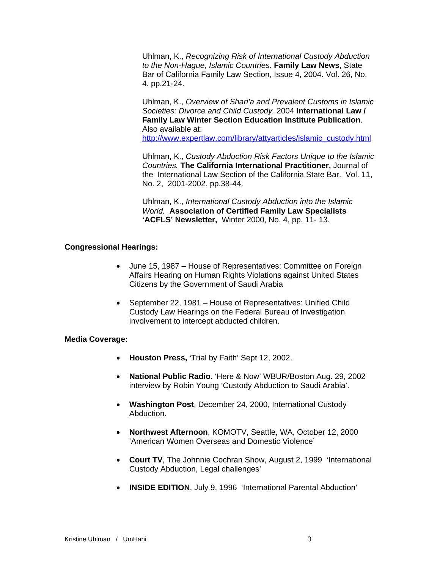Uhlman, K., *Recognizing Risk of International Custody Abduction to the Non-Hague, Islamic Countries.* **Family Law News**, State Bar of California Family Law Section, Issue 4, 2004. Vol. 26, No. 4. pp.21-24.

Uhlman, K., *Overview of Shari'a and Prevalent Customs in Islamic Societies: Divorce and Child Custody.* 2004 **International Law / Family Law Winter Section Education Institute Publication**. Also available at:

http://www.expertlaw.com/library/attyarticles/islamic\_custody.html

Uhlman, K., *Custody Abduction Risk Factors Unique to the Islamic Countries.* **The California International Practitioner,** Journal of the International Law Section of the California State Bar. Vol. 11, No. 2, 2001-2002. pp.38-44.

Uhlman, K., *International Custody Abduction into the Islamic World.* **Association of Certified Family Law Specialists 'ACFLS' Newsletter,** Winter 2000, No. 4, pp. 11- 13.

# **Congressional Hearings:**

- June 15, 1987 House of Representatives: Committee on Foreign Affairs Hearing on Human Rights Violations against United States Citizens by the Government of Saudi Arabia
- September 22, 1981 House of Representatives: Unified Child Custody Law Hearings on the Federal Bureau of Investigation involvement to intercept abducted children.

## **Media Coverage:**

- **Houston Press,** 'Trial by Faith' Sept 12, 2002.
- **National Public Radio.** 'Here & Now' WBUR/Boston Aug. 29, 2002 interview by Robin Young 'Custody Abduction to Saudi Arabia'.
- **Washington Post**, December 24, 2000, International Custody Abduction.
- **Northwest Afternoon**, KOMOTV, Seattle, WA, October 12, 2000 'American Women Overseas and Domestic Violence'
- **Court TV**, The Johnnie Cochran Show, August 2, 1999 'International Custody Abduction, Legal challenges'
- **INSIDE EDITION**, July 9, 1996 'International Parental Abduction'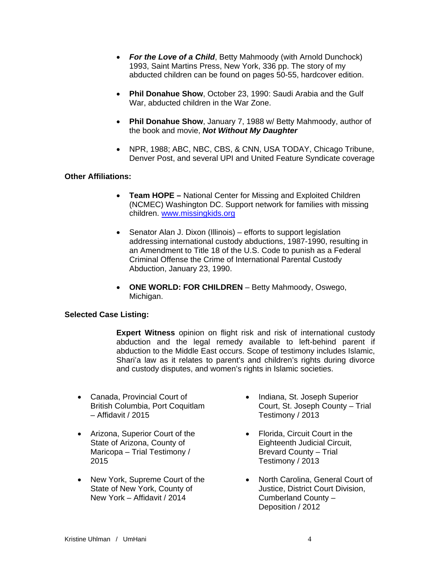- *For the Love of a Child*, Betty Mahmoody (with Arnold Dunchock) 1993, Saint Martins Press, New York, 336 pp. The story of my abducted children can be found on pages 50-55, hardcover edition.
- **Phil Donahue Show**, October 23, 1990: Saudi Arabia and the Gulf War, abducted children in the War Zone.
- **Phil Donahue Show**, January 7, 1988 w/ Betty Mahmoody, author of the book and movie, *Not Without My Daughter*
- NPR, 1988; ABC, NBC, CBS, & CNN, USA TODAY, Chicago Tribune, Denver Post, and several UPI and United Feature Syndicate coverage

# **Other Affiliations:**

- **Team HOPE** National Center for Missing and Exploited Children (NCMEC) Washington DC. Support network for families with missing children. www.missingkids.org
- Senator Alan J. Dixon (Illinois) efforts to support legislation addressing international custody abductions, 1987-1990, resulting in an Amendment to Title 18 of the U.S. Code to punish as a Federal Criminal Offense the Crime of International Parental Custody Abduction, January 23, 1990.
- **ONE WORLD: FOR CHILDREN** Betty Mahmoody, Oswego, Michigan.

## **Selected Case Listing:**

**Expert Witness** opinion on flight risk and risk of international custody abduction and the legal remedy available to left-behind parent if abduction to the Middle East occurs. Scope of testimony includes Islamic, Shari'a law as it relates to parent's and children's rights during divorce and custody disputes, and women's rights in Islamic societies.

- Canada, Provincial Court of British Columbia, Port Coquitlam – Affidavit / 2015
- Arizona, Superior Court of the State of Arizona, County of Maricopa – Trial Testimony / 2015
- New York, Supreme Court of the State of New York, County of New York – Affidavit / 2014
- Indiana, St. Joseph Superior Court, St. Joseph County – Trial Testimony / 2013
- Florida, Circuit Court in the Eighteenth Judicial Circuit, Brevard County – Trial Testimony / 2013
- North Carolina, General Court of Justice, District Court Division, Cumberland County – Deposition / 2012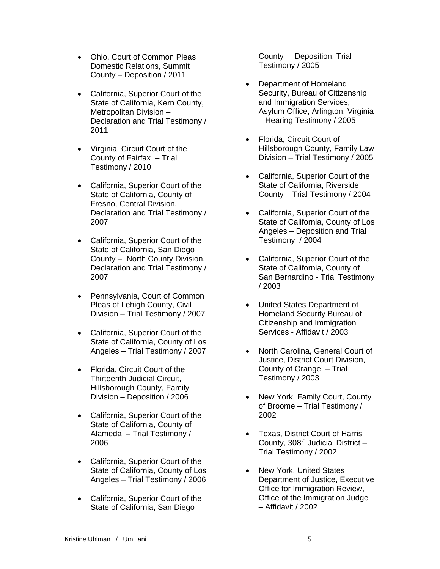- Ohio, Court of Common Pleas Domestic Relations, Summit County – Deposition / 2011
- California, Superior Court of the State of California, Kern County, Metropolitan Division – Declaration and Trial Testimony / 2011
- Virginia, Circuit Court of the County of Fairfax – Trial Testimony / 2010
- California, Superior Court of the State of California, County of Fresno, Central Division. Declaration and Trial Testimony / 2007
- California, Superior Court of the State of California, San Diego County – North County Division. Declaration and Trial Testimony / 2007
- Pennsylvania, Court of Common Pleas of Lehigh County, Civil Division – Trial Testimony / 2007
- California, Superior Court of the State of California, County of Los Angeles – Trial Testimony / 2007
- Florida, Circuit Court of the Thirteenth Judicial Circuit, Hillsborough County, Family Division – Deposition / 2006
- California, Superior Court of the State of California, County of Alameda – Trial Testimony / 2006
- California, Superior Court of the State of California, County of Los Angeles – Trial Testimony / 2006
- California, Superior Court of the State of California, San Diego

County – Deposition, Trial Testimony / 2005

- Department of Homeland Security, Bureau of Citizenship and Immigration Services, Asylum Office, Arlington, Virginia – Hearing Testimony / 2005
- Florida, Circuit Court of Hillsborough County, Family Law Division – Trial Testimony / 2005
- California, Superior Court of the State of California, Riverside County – Trial Testimony / 2004
- California, Superior Court of the State of California, County of Los Angeles – Deposition and Trial Testimony / 2004
- California, Superior Court of the State of California, County of San Bernardino - Trial Testimony / 2003
- United States Department of Homeland Security Bureau of Citizenship and Immigration Services - Affidavit / 2003
- North Carolina, General Court of Justice, District Court Division, County of Orange – Trial Testimony / 2003
- New York, Family Court, County of Broome – Trial Testimony / 2002
- Texas, District Court of Harris County,  $308^{th}$  Judicial District – Trial Testimony / 2002
- New York, United States Department of Justice, Executive Office for Immigration Review, Office of the Immigration Judge – Affidavit / 2002